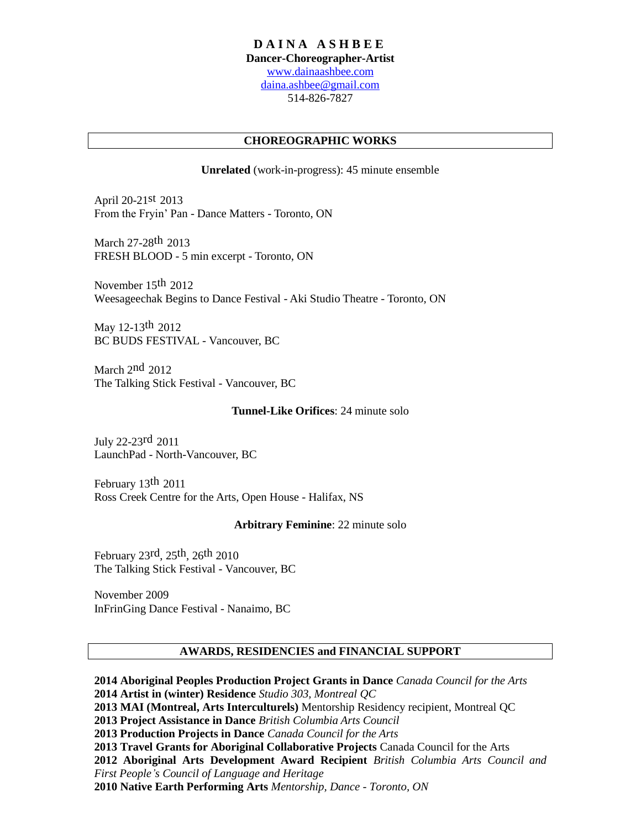## **D A I N A A S H B E E**

**Dancer-Choreographer-Artist**

[www.dainaashbee.com](http://www.dainaashbee.com/) [daina.ashbee@gmail.com](mailto:daina.ashbee@gmail.com) 514-826-7827

# **CHOREOGRAPHIC WORKS**

## **Unrelated** (work-in-progress): 45 minute ensemble

April 20-21st 2013 From the Fryin' Pan - Dance Matters - Toronto, ON

March 27-28th 2013 FRESH BLOOD - 5 min excerpt - Toronto, ON

November 15th 2012 Weesageechak Begins to Dance Festival - Aki Studio Theatre - Toronto, ON

May 12-13th 2012 BC BUDS FESTIVAL - Vancouver, BC

March 2<sup>nd</sup> 2012 The Talking Stick Festival - Vancouver, BC

## **Tunnel-Like Orifices**: 24 minute solo

July 22-23rd 2011 LaunchPad - North-Vancouver, BC

February 13th 2011 Ross Creek Centre for the Arts, Open House - Halifax, NS

## **Arbitrary Feminine**: 22 minute solo

February 23rd, 25th, 26th 2010 The Talking Stick Festival - Vancouver, BC

November 2009 InFrinGing Dance Festival - Nanaimo, BC

## **AWARDS, RESIDENCIES and FINANCIAL SUPPORT**

**2014 Aboriginal Peoples Production Project Grants in Dance** *Canada Council for the Arts* **2014 Artist in (winter) Residence** *Studio 303, Montreal QC* **2013 MAI (Montreal, Arts Interculturels)** Mentorship Residency recipient, Montreal QC **2013 Project Assistance in Dance** *British Columbia Arts Council* **2013 Production Projects in Dance** *Canada Council for the Arts* **2013 Travel Grants for Aboriginal Collaborative Projects** Canada Council for the Arts **2012 Aboriginal Arts Development Award Recipient** *British Columbia Arts Council and First People's Council of Language and Heritage* **2010 Native Earth Performing Arts** *Mentorship, Dance - Toronto, ON*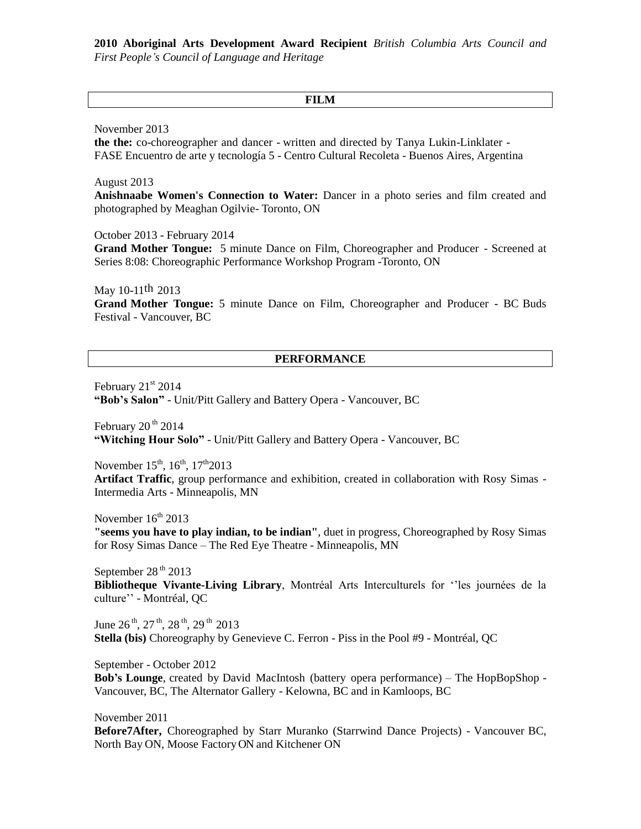**2010 Aboriginal Arts Development Award Recipient** *British Columbia Arts Council and First People's Council of Language and Heritage*

#### **FILM**

November 2013

**the the:** co-choreographer and dancer - written and directed by Tanya Lukin-Linklater - FASE Encuentro de arte y tecnología 5 - Centro Cultural Recoleta - Buenos Aires, Argentina

August 2013

**Anishnaabe Women's Connection to Water:** Dancer in a photo series and film created and photographed by Meaghan Ogilvie- Toronto, ON

October 2013 - February 2014

**Grand Mother Tongue:** 5 minute Dance on Film, Choreographer and Producer - Screened at Series 8:08: Choreographic Performance Workshop Program -Toronto, ON

May 10-11th 2013 **Grand Mother Tongue:** 5 minute Dance on Film, Choreographer and Producer - BC Buds Festival - Vancouver, BC

#### **PERFORMANCE**

February  $21<sup>st</sup> 2014$ **"Bob's Salon"** - Unit/Pitt Gallery and Battery Opera - Vancouver, BC

February  $20<sup>th</sup> 2014$ **"Witching Hour Solo"** - Unit/Pitt Gallery and Battery Opera - Vancouver, BC

November  $15^{th}$ ,  $16^{th}$ ,  $17^{th}2013$ **Artifact Traffic**, group performance and exhibition, created in collaboration with Rosy Simas - Intermedia Arts - Minneapolis, MN

November  $16<sup>th</sup>$  2013 **"seems you have to play indian, to be indian"**, duet in progress, Choreographed by Rosy Simas for Rosy Simas Dance – The Red Eye Theatre - Minneapolis, MN

September 28<sup>th</sup> 2013 **Bibliotheque Vivante-Living Library**, Montréal Arts Interculturels for ''les journées de la culture'' - Montréal, QC

June  $26^{th}$ ,  $27^{th}$ ,  $28^{th}$ ,  $29^{th}$   $2013$ **Stella (bis)** Choreography by Genevieve C. Ferron - Piss in the Pool #9 - Montréal, QC

September - October 2012

**Bob's Lounge**, created by David MacIntosh (battery opera performance) – The HopBopShop - Vancouver, BC, The Alternator Gallery - Kelowna, BC and in Kamloops, BC

November 2011 **Before7After,** Choreographed by Starr Muranko (Starrwind Dance Projects) - Vancouver BC, North Bay ON, Moose Factory ON and Kitchener ON